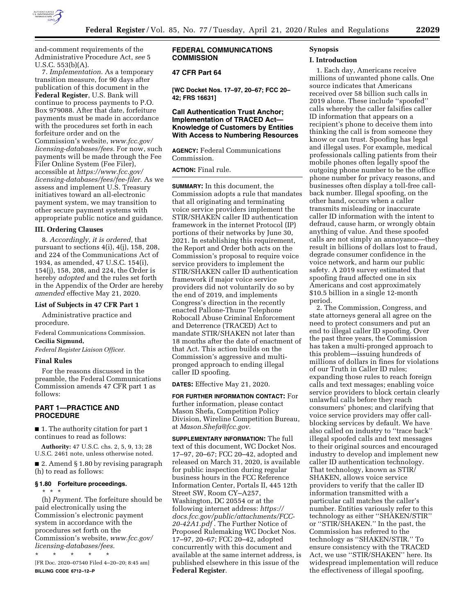

and-comment requirements of the Administrative Procedure Act, *see* 5 U.S.C. 553(b)(A).

7. *Implementation.* As a temporary transition measure, for 90 days after publication of this document in the **Federal Register**, U.S. Bank will continue to process payments to P.O. Box 979088. After that date, forfeiture payments must be made in accordance with the procedures set forth in each forfeiture order and on the Commission's website, *[www.fcc.gov/](http://www.fcc.gov/licensing-databases/fees) [licensing-databases/fees.](http://www.fcc.gov/licensing-databases/fees)* For now, such payments will be made through the Fee Filer Online System (Fee Filer), accessible at *[https://www.fcc.gov/](https://www.fcc.gov/licensing-databases/fees/fee-filer)  [licensing-databases/fees/fee-filer.](https://www.fcc.gov/licensing-databases/fees/fee-filer)* As we assess and implement U.S. Treasury initiatives toward an all-electronic payment system, we may transition to other secure payment systems with appropriate public notice and guidance.

### **III. Ordering Clauses**

8. *Accordingly, it is ordered,* that pursuant to sections 4(i), 4(j), 158, 208, and 224 of the Communications Act of 1934, as amended, 47 U.S.C. 154(i), 154(j), 158, 208, and 224, the Order is hereby *adopted* and the rules set forth in the Appendix of the Order are hereby *amended* effective May 21, 2020.

#### **List of Subjects in 47 CFR Part 1**

Administrative practice and procedure.

Federal Communications Commission.

**Cecilia Sigmund,** 

*Federal Register Liaison Officer.* 

### **Final Rules**

\* \* \*

For the reasons discussed in the preamble, the Federal Communications Commission amends 47 CFR part 1 as follows:

# **PART 1—PRACTICE AND PROCEDURE**

■ 1. The authority citation for part 1 continues to read as follows:

**Authority:** 47 U.S.C. chs. 2, 5, 9, 13; 28 U.S.C. 2461 note, unless otherwise noted.

■ 2. Amend § 1.80 by revising paragraph (h) to read as follows:

#### **§ 1.80 Forfeiture proceedings.**

(h) *Payment.* The forfeiture should be paid electronically using the Commission's electronic payment system in accordance with the procedures set forth on the Commission's website, *[www.fcc.gov/](http://www.fcc.gov/licensing-databases/fees) [licensing-databases/fees.](http://www.fcc.gov/licensing-databases/fees)* 

\* \* \* \* \* [FR Doc. 2020–07540 Filed 4–20–20; 8:45 am] **BILLING CODE 6712–12–P** 

# **FEDERAL COMMUNICATIONS COMMISSION**

# **47 CFR Part 64**

**[WC Docket Nos. 17–97, 20–67; FCC 20– 42; FRS 16631]** 

# **Call Authentication Trust Anchor; Implementation of TRACED Act— Knowledge of Customers by Entities With Access to Numbering Resources**

**AGENCY:** Federal Communications Commission.

# **ACTION:** Final rule.

**SUMMARY:** In this document, the Commission adopts a rule that mandates that all originating and terminating voice service providers implement the STIR/SHAKEN caller ID authentication framework in the internet Protocol (IP) portions of their networks by June 30, 2021. In establishing this requirement, the Report and Order both acts on the Commission's proposal to require voice service providers to implement the STIR/SHAKEN caller ID authentication framework if major voice service providers did not voluntarily do so by the end of 2019, and implements Congress's direction in the recently enacted Pallone-Thune Telephone Robocall Abuse Criminal Enforcement and Deterrence (TRACED) Act to mandate STIR/SHAKEN not later than 18 months after the date of enactment of that Act. This action builds on the Commission's aggressive and multipronged approach to ending illegal caller ID spoofing.

**DATES:** Effective May 21, 2020.

**FOR FURTHER INFORMATION CONTACT:** For further information, please contact Mason Shefa, Competition Policy Division, Wireline Competition Bureau, at *[Mason.Shefa@fcc.gov.](mailto:Mason.Shefa@fcc.gov)* 

**SUPPLEMENTARY INFORMATION:** The full text of this document, WC Docket Nos. 17–97, 20–67; FCC 20–42, adopted and released on March 31, 2020, is available for public inspection during regular business hours in the FCC Reference Information Center, Portals II, 445 12th Street SW, Room CY–A257, Washington, DC 20554 or at the following internet address: *[https://](https://docs.fcc.gov/public/attachments/FCC-20-42A1.pdf) [docs.fcc.gov/public/attachments/FCC-](https://docs.fcc.gov/public/attachments/FCC-20-42A1.pdf)[20-42A1.pdf](https://docs.fcc.gov/public/attachments/FCC-20-42A1.pdf)* . The Further Notice of Proposed Rulemaking WC Docket Nos. 17–97, 20–67; FCC 20–42, adopted concurrently with this document and available at the same internet address, is published elsewhere in this issue of the **Federal Register**.

# **Synopsis**

### **I. Introduction**

1. Each day, Americans receive millions of unwanted phone calls. One source indicates that Americans received over 58 billion such calls in 2019 alone. These include ''spoofed'' calls whereby the caller falsifies caller ID information that appears on a recipient's phone to deceive them into thinking the call is from someone they know or can trust. Spoofing has legal and illegal uses. For example, medical professionals calling patients from their mobile phones often legally spoof the outgoing phone number to be the office phone number for privacy reasons, and businesses often display a toll-free callback number. Illegal spoofing, on the other hand, occurs when a caller transmits misleading or inaccurate caller ID information with the intent to defraud, cause harm, or wrongly obtain anything of value. And these spoofed calls are not simply an annoyance—they result in billions of dollars lost to fraud, degrade consumer confidence in the voice network, and harm our public safety. A 2019 survey estimated that spoofing fraud affected one in six Americans and cost approximately \$10.5 billion in a single 12-month period.

2. The Commission, Congress, and state attorneys general all agree on the need to protect consumers and put an end to illegal caller ID spoofing. Over the past three years, the Commission has taken a multi-pronged approach to this problem—issuing hundreds of millions of dollars in fines for violations of our Truth in Caller ID rules; expanding those rules to reach foreign calls and text messages; enabling voice service providers to block certain clearly unlawful calls before they reach consumers' phones; and clarifying that voice service providers may offer callblocking services by default. We have also called on industry to ''trace back'' illegal spoofed calls and text messages to their original sources and encouraged industry to develop and implement new caller ID authentication technology. That technology, known as STIR/ SHAKEN, allows voice service providers to verify that the caller ID information transmitted with a particular call matches the caller's number. Entities variously refer to this technology as either ''SHAKEN/STIR'' or ''STIR/SHAKEN.'' In the past, the Commission has referred to the technology as ''SHAKEN/STIR.'' To ensure consistency with the TRACED Act, we use ''STIR/SHAKEN'' here. Its widespread implementation will reduce the effectiveness of illegal spoofing,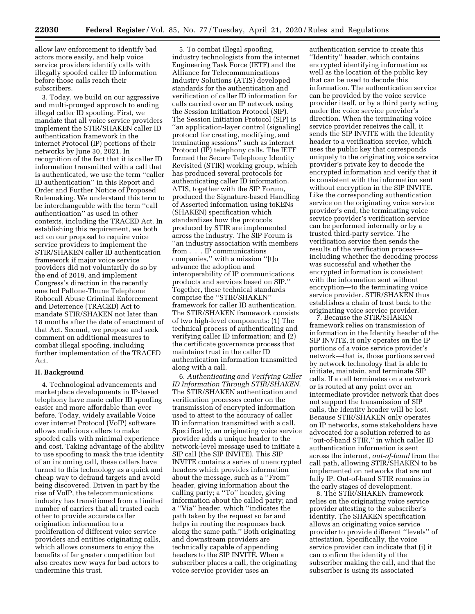allow law enforcement to identify bad actors more easily, and help voice service providers identify calls with illegally spoofed caller ID information before those calls reach their subscribers.

3. Today, we build on our aggressive and multi-pronged approach to ending illegal caller ID spoofing. First, we mandate that all voice service providers implement the STIR/SHAKEN caller ID authentication framework in the internet Protocol (IP) portions of their networks by June 30, 2021. In recognition of the fact that it is caller ID information transmitted with a call that is authenticated, we use the term ''caller ID authentication'' in this Report and Order and Further Notice of Proposed Rulemaking. We understand this term to be interchangeable with the term ''call authentication'' as used in other contexts, including the TRACED Act. In establishing this requirement, we both act on our proposal to require voice service providers to implement the STIR/SHAKEN caller ID authentication framework if major voice service providers did not voluntarily do so by the end of 2019, and implement Congress's direction in the recently enacted Pallone-Thune Telephone Robocall Abuse Criminal Enforcement and Deterrence (TRACED) Act to mandate STIR/SHAKEN not later than 18 months after the date of enactment of that Act. Second, we propose and seek comment on additional measures to combat illegal spoofing, including further implementation of the TRACED Act.

#### **II. Background**

4. Technological advancements and marketplace developments in IP-based telephony have made caller ID spoofing easier and more affordable than ever before. Today, widely available Voice over internet Protocol (VoIP) software allows malicious callers to make spoofed calls with minimal experience and cost. Taking advantage of the ability to use spoofing to mask the true identity of an incoming call, these callers have turned to this technology as a quick and cheap way to defraud targets and avoid being discovered. Driven in part by the rise of VoIP, the telecommunications industry has transitioned from a limited number of carriers that all trusted each other to provide accurate caller origination information to a proliferation of different voice service providers and entities originating calls, which allows consumers to enjoy the benefits of far greater competition but also creates new ways for bad actors to undermine this trust.

5. To combat illegal spoofing, industry technologists from the internet Engineering Task Force (IETF) and the Alliance for Telecommunications Industry Solutions (ATIS) developed standards for the authentication and verification of caller ID information for calls carried over an IP network using the Session Initiation Protocol (SIP). The Session Initiation Protocol (SIP) is ''an application-layer control (signaling) protocol for creating, modifying, and terminating sessions'' such as internet Protocol (IP) telephony calls. The IETF formed the Secure Telephony Identity Revisited (STIR) working group, which has produced several protocols for authenticating caller ID information. ATIS, together with the SIP Forum, produced the Signature-based Handling of Asserted information using toKENs (SHAKEN) specification which standardizes how the protocols produced by STIR are implemented across the industry. The SIP Forum is ''an industry association with members from . . . IP communications companies,'' with a mission ''[t]o advance the adoption and interoperability of IP communications products and services based on SIP.'' Together, these technical standards comprise the ''STIR/SHAKEN'' framework for caller ID authentication. The STIR/SHAKEN framework consists of two high-level components: (1) The technical process of authenticating and verifying caller ID information; and (2) the certificate governance process that maintains trust in the caller ID authentication information transmitted along with a call.

6. *Authenticating and Verifying Caller ID Information Through STIR/SHAKEN.*  The STIR/SHAKEN authentication and verification processes center on the transmission of encrypted information used to attest to the accuracy of caller ID information transmitted with a call. Specifically, an originating voice service provider adds a unique header to the network-level message used to initiate a SIP call (the SIP INVITE). This SIP INVITE contains a series of unencrypted headers which provides information about the message, such as a ''From'' header, giving information about the calling party; a ''To'' header, giving information about the called party; and a ''Via'' header, which ''indicates the path taken by the request so far and helps in routing the responses back along the same path.'' Both originating and downstream providers are technically capable of appending headers to the SIP INVITE. When a subscriber places a call, the originating voice service provider uses an

authentication service to create this ''Identity'' header, which contains encrypted identifying information as well as the location of the public key that can be used to decode this information. The authentication service can be provided by the voice service provider itself, or by a third party acting under the voice service provider's direction. When the terminating voice service provider receives the call, it sends the SIP INVITE with the Identity header to a verification service, which uses the public key that corresponds uniquely to the originating voice service provider's private key to decode the encrypted information and verify that it is consistent with the information sent without encryption in the SIP INVITE. Like the corresponding authentication service on the originating voice service provider's end, the terminating voice service provider's verification service can be performed internally or by a trusted third-party service. The verification service then sends the results of the verification process including whether the decoding process was successful and whether the encrypted information is consistent with the information sent without encryption—to the terminating voice service provider. STIR/SHAKEN thus establishes a chain of trust back to the originating voice service provider.

7. Because the STIR/SHAKEN framework relies on transmission of information in the Identity header of the SIP INVITE, it only operates on the IP portions of a voice service provider's network—that is, those portions served by network technology that is able to initiate, maintain, and terminate SIP calls. If a call terminates on a network or is routed at any point over an intermediate provider network that does not support the transmission of SIP calls, the Identity header will be lost. Because STIR/SHAKEN only operates on IP networks, some stakeholders have advocated for a solution referred to as ''out-of-band STIR,'' in which caller ID authentication information is sent across the internet, *out-of-band* from the call path, allowing STIR/SHAKEN to be implemented on networks that are not fully IP. Out-of-band STIR remains in the early stages of development.

8. The STIR/SHAKEN framework relies on the originating voice service provider attesting to the subscriber's identity. The SHAKEN specification allows an originating voice service provider to provide different ''levels'' of attestation. Specifically, the voice service provider can indicate that (i) it can confirm the identity of the subscriber making the call, and that the subscriber is using its associated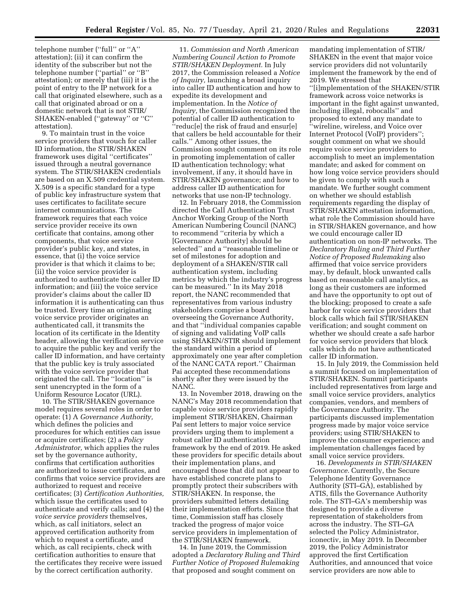telephone number (''full'' or ''A'' attestation); (ii) it can confirm the identity of the subscriber but not the telephone number (''partial'' or ''B'' attestation); or merely that (iii) it is the point of entry to the IP network for a call that originated elsewhere, such as a call that originated abroad or on a domestic network that is not STIR/ SHAKEN-enabled (''gateway'' or ''C'' attestation).

9. To maintain trust in the voice service providers that vouch for caller ID information, the STIR/SHAKEN framework uses digital ''certificates'' issued through a neutral governance system. The STIR/SHAKEN credentials are based on an X.509 credential system. X.509 is a specific standard for a type of public key infrastructure system that uses certificates to facilitate secure internet communications. The framework requires that each voice service provider receive its own certificate that contains, among other components, that voice service provider's public key, and states, in essence, that (i) the voice service provider is that which it claims to be; (ii) the voice service provider is authorized to authenticate the caller ID information; and (iii) the voice service provider's claims about the caller ID information it is authenticating can thus be trusted. Every time an originating voice service provider originates an authenticated call, it transmits the location of its certificate in the Identity header, allowing the verification service to acquire the public key and verify the caller ID information, and have certainty that the public key is truly associated with the voice service provider that originated the call. The ''location'' is sent unencrypted in the form of a Uniform Resource Locator (URL).

10. The STIR/SHAKEN governance model requires several roles in order to operate: (1) A *Governance Authority,*  which defines the policies and procedures for which entities can issue or acquire certificates; (2) a *Policy Administrator,* which applies the rules set by the governance authority, confirms that certification authorities are authorized to issue certificates, and confirms that voice service providers are authorized to request and receive certificates; (3) *Certification Authorities,*  which issue the certificates used to authenticate and verify calls; and (4) the *voice service providers* themselves, which, as call initiators, select an approved certification authority from which to request a certificate, and which, as call recipients, check with certification authorities to ensure that the certificates they receive were issued by the correct certification authority.

11. *Commission and North American Numbering Council Action to Promote STIR/SHAKEN Deployment.* In July 2017, the Commission released a *Notice of Inquiry,* launching a broad inquiry into caller ID authentication and how to expedite its development and implementation. In the *Notice of Inquiry,* the Commission recognized the potential of caller ID authentication to ''reduc[e] the risk of fraud and ensur[e] that callers be held accountable for their calls.'' Among other issues, the Commission sought comment on its role in promoting implementation of caller ID authentication technology; what involvement, if any, it should have in STIR/SHAKEN governance; and how to address caller ID authentication for networks that use non-IP technology.

12. In February 2018, the Commission directed the Call Authentication Trust Anchor Working Group of the North American Numbering Council (NANC) to recommend ''criteria by which a [Governance Authority] should be selected'' and a ''reasonable timeline or set of milestones for adoption and deployment of a SHAKEN/STIR call authentication system, including metrics by which the industry's progress can be measured.'' In its May 2018 report, the NANC recommended that representatives from various industry stakeholders comprise a board overseeing the Governance Authority, and that ''individual companies capable of signing and validating VoIP calls using SHAKEN/STIR should implement the standard within a period of approximately one year after completion of the NANC CATA report.'' Chairman Pai accepted these recommendations shortly after they were issued by the NANC.

13. In November 2018, drawing on the NANC's May 2018 recommendation that capable voice service providers rapidly implement STIR/SHAKEN, Chairman Pai sent letters to major voice service providers urging them to implement a robust caller ID authentication framework by the end of 2019. He asked these providers for specific details about their implementation plans, and encouraged those that did not appear to have established concrete plans to promptly protect their subscribers with STIR/SHAKEN. In response, the providers submitted letters detailing their implementation efforts. Since that time, Commission staff has closely tracked the progress of major voice service providers in implementation of the STIR/SHAKEN framework.

14. In June 2019, the Commission adopted a *Declaratory Ruling and Third Further Notice of Proposed Rulemaking*  that proposed and sought comment on

mandating implementation of STIR/ SHAKEN in the event that major voice service providers did not voluntarily implement the framework by the end of 2019. We stressed that ''[i]mplementation of the SHAKEN/STIR framework across voice networks is important in the fight against unwanted, including illegal, robocalls'' and proposed to extend any mandate to ''wireline, wireless, and Voice over Internet Protocol (VoIP) providers''; sought comment on what we should require voice service providers to accomplish to meet an implementation mandate; and asked for comment on how long voice service providers should be given to comply with such a mandate. We further sought comment on whether we should establish requirements regarding the display of STIR/SHAKEN attestation information, what role the Commission should have in STIR/SHAKEN governance, and how we could encourage caller ID authentication on non-IP networks. The *Declaratory Ruling and Third Further Notice of Proposed Rulemaking* also affirmed that voice service providers may, by default, block unwanted calls based on reasonable call analytics, as long as their customers are informed and have the opportunity to opt out of the blocking; proposed to create a safe harbor for voice service providers that block calls which fail STIR/SHAKEN verification; and sought comment on whether we should create a safe harbor for voice service providers that block calls which do not have authenticated caller ID information.

15. In July 2019, the Commission held a summit focused on implementation of STIR/SHAKEN. Summit participants included representatives from large and small voice service providers, analytics companies, vendors, and members of the Governance Authority. The participants discussed implementation progress made by major voice service providers; using STIR/SHAKEN to improve the consumer experience; and implementation challenges faced by small voice service providers.

16. *Developments in STIR/SHAKEN Governance.* Currently, the Secure Telephone Identity Governance Authority (STI–GA), established by ATIS, fills the Governance Authority role. The STI–GA's membership was designed to provide a diverse representation of stakeholders from across the industry. The STI–GA selected the Policy Administrator, iconectiv, in May 2019. In December 2019, the Policy Administrator approved the first Certification Authorities, and announced that voice service providers are now able to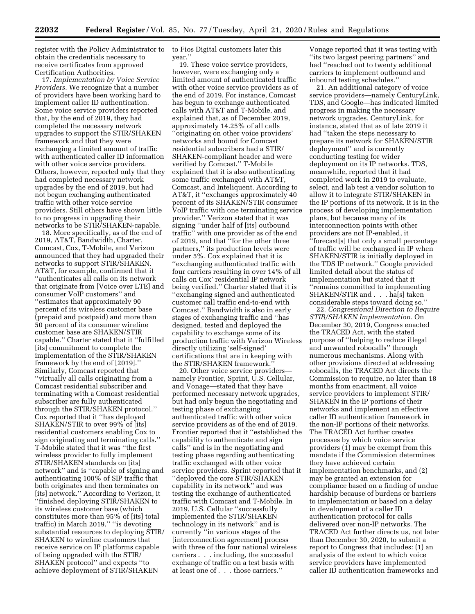register with the Policy Administrator to obtain the credentials necessary to receive certificates from approved Certification Authorities.

17. *Implementation by Voice Service Providers.* We recognize that a number of providers have been working hard to implement caller ID authentication. Some voice service providers reported that, by the end of 2019, they had completed the necessary network upgrades to support the STIR/SHAKEN framework and that they were exchanging a limited amount of traffic with authenticated caller ID information with other voice service providers. Others, however, reported only that they had completed necessary network upgrades by the end of 2019, but had not begun exchanging authenticated traffic with other voice service providers. Still others have shown little to no progress in upgrading their networks to be STIR/SHAKEN-capable.

18. More specifically, as of the end of 2019, AT&T, Bandwidth, Charter, Comcast, Cox, T-Mobile, and Verizon announced that they had upgraded their networks to support STIR/SHAKEN. AT&T, for example, confirmed that it ''authenticates all calls on its network that originate from [Voice over LTE] and consumer VoIP customers'' and ''estimates that approximately 90 percent of its wireless customer base (prepaid and postpaid) and more than 50 percent of its consumer wireline customer base are SHAKEN/STIR capable.'' Charter stated that it ''fulfilled [its] commitment to complete the implementation of the STIR/SHAKEN framework by the end of [2019].'' Similarly, Comcast reported that ''virtually all calls originating from a Comcast residential subscriber and terminating with a Comcast residential subscriber are fully authenticated through the STIR/SHAKEN protocol.'' Cox reported that it ''has deployed SHAKEN/STIR to over 99% of [its] residential customers enabling Cox to sign originating and terminating calls.'' T-Mobile stated that it was ''the first wireless provider to fully implement STIR/SHAKEN standards on [its] network'' and is ''capable of signing and authenticating 100% of SIP traffic that both originates and then terminates on [its] network." According to Verizon, it ''finished deploying STIR/SHAKEN to its wireless customer base (which constitutes more than 95% of [its] total traffic) in March 2019,'' ''is devoting substantial resources to deploying STIR/ SHAKEN to wireline customers that receive service on IP platforms capable of being upgraded with the STIR/ SHAKEN protocol'' and expects ''to achieve deployment of STIR/SHAKEN

to Fios Digital customers later this year.''

19. These voice service providers, however, were exchanging only a limited amount of authenticated traffic with other voice service providers as of the end of 2019. For instance, Comcast has begun to exchange authenticated calls with AT&T and T-Mobile, and explained that, as of December 2019, approximately 14.25% of all calls ''originating on other voice providers' networks and bound for Comcast residential subscribers had a STIR/ SHAKEN-compliant header and were verified by Comcast.'' T-Mobile explained that it is also authenticating some traffic exchanged with AT&T, Comcast, and Inteliquent. According to AT&T, it ''exchanges approximately 40 percent of its SHAKEN/STIR consumer VoIP traffic with one terminating service provider.'' Verizon stated that it was signing ''under half of [its] outbound traffic'' with one provider as of the end of 2019, and that ''for the other three partners,'' its production levels were under 5%. Cox explained that it is ''exchanging authenticated traffic with four carriers resulting in over 14% of all calls on Cox' residential IP network being verified.'' Charter stated that it is ''exchanging signed and authenticated customer call traffic end-to-end with Comcast.'' Bandwidth is also in early stages of exchanging traffic and ''has designed, tested and deployed the capability to exchange some of its production traffic with Verizon Wireless directly utilizing 'self-signed' certifications that are in keeping with the STIR/SHAKEN framework.''

20. Other voice service providers namely Frontier, Sprint, U.S. Cellular, and Vonage—stated that they have performed necessary network upgrades, but had only begun the negotiating and testing phase of exchanging authenticated traffic with other voice service providers as of the end of 2019. Frontier reported that it ''established the capability to authenticate and sign calls'' and is in the negotiating and testing phase regarding authenticating traffic exchanged with other voice service providers. Sprint reported that it ''deployed the core STIR/SHAKEN capability in its network'' and was testing the exchange of authenticated traffic with Comcast and T-Mobile. In 2019, U.S. Cellular ''successfully implemented the STIR/SHAKEN technology in its network'' and is currently ''in various stages of the [interconnection agreement] process with three of the four national wireless carriers . . . including, the successful exchange of traffic on a test basis with at least one of . . . those carriers.''

Vonage reported that it was testing with ''its two largest peering partners'' and had ''reached out to twenty additional carriers to implement outbound and inbound testing schedules.''

21. An additional category of voice service providers—namely CenturyLink, TDS, and Google—has indicated limited progress in making the necessary network upgrades. CenturyLink, for instance, stated that as of late 2019 it had ''taken the steps necessary to prepare its network for SHAKEN/STIR deployment'' and is currently conducting testing for wider deployment on its IP networks. TDS, meanwhile, reported that it had completed work in 2019 to evaluate, select, and lab test a vendor solution to allow it to integrate STIR/SHAKEN in the IP portions of its network. It is in the process of developing implementation plans, but because many of its interconnection points with other providers are not IP-enabled, it ''forecast[s] that only a small percentage of traffic will be exchanged in IP when SHAKEN/STIR is initially deployed in the TDS IP network.'' Google provided limited detail about the status of implementation but stated that it ''remains committed to implementing SHAKEN/STIR and . . . ha[s] taken considerable steps toward doing so.''

22. *Congressional Direction to Require STIR/SHAKEN Implementation.* On December 30, 2019, Congress enacted the TRACED Act, with the stated purpose of ''helping to reduce illegal and unwanted robocalls'' through numerous mechanisms. Along with other provisions directed at addressing robocalls, the TRACED Act directs the Commission to require, no later than 18 months from enactment, all voice service providers to implement STIR/ SHAKEN in the IP portions of their networks and implement an effective caller ID authentication framework in the non-IP portions of their networks. The TRACED Act further creates processes by which voice service providers (1) may be exempt from this mandate if the Commission determines they have achieved certain implementation benchmarks, and (2) may be granted an extension for compliance based on a finding of undue hardship because of burdens or barriers to implementation or based on a delay in development of a caller ID authentication protocol for calls delivered over non-IP networks. The TRACED Act further directs us, not later than December 30, 2020, to submit a report to Congress that includes: (1) an analysis of the extent to which voice service providers have implemented caller ID authentication frameworks and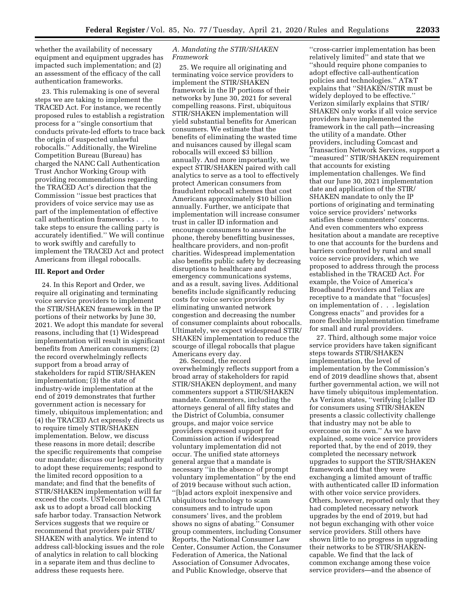whether the availability of necessary equipment and equipment upgrades has impacted such implementation; and (2) an assessment of the efficacy of the call authentication frameworks.

23. This rulemaking is one of several steps we are taking to implement the TRACED Act. For instance, we recently proposed rules to establish a registration process for a ''single consortium that conducts private-led efforts to trace back the origin of suspected unlawful robocalls.'' Additionally, the Wireline Competition Bureau (Bureau) has charged the NANC Call Authentication Trust Anchor Working Group with providing recommendations regarding the TRACED Act's direction that the Commission ''issue best practices that providers of voice service may use as part of the implementation of effective call authentication frameworks . . . to take steps to ensure the calling party is accurately identified.'' We will continue to work swiftly and carefully to implement the TRACED Act and protect Americans from illegal robocalls.

### **III. Report and Order**

24. In this Report and Order, we require all originating and terminating voice service providers to implement the STIR/SHAKEN framework in the IP portions of their networks by June 30, 2021. We adopt this mandate for several reasons, including that (1) Widespread implementation will result in significant benefits from American consumers; (2) the record overwhelmingly reflects support from a broad array of stakeholders for rapid STIR/SHAKEN implementation; (3) the state of industry-wide implementation at the end of 2019 demonstrates that further government action is necessary for timely, ubiquitous implementation; and (4) the TRACED Act expressly directs us to require timely STIR/SHAKEN implementation. Below, we discuss these reasons in more detail; describe the specific requirements that comprise our mandate; discuss our legal authority to adopt these requirements; respond to the limited record opposition to a mandate; and find that the benefits of STIR/SHAKEN implementation will far exceed the costs. USTelecom and CTIA ask us to adopt a broad call blocking safe harbor today. Transaction Network Services suggests that we require or recommend that providers pair STIR/ SHAKEN with analytics. We intend to address call-blocking issues and the role of analytics in relation to call blocking in a separate item and thus decline to address these requests here.

### *A. Mandating the STIR/SHAKEN Framework*

25. We require all originating and terminating voice service providers to implement the STIR/SHAKEN framework in the IP portions of their networks by June 30, 2021 for several compelling reasons. First, ubiquitous STIR/SHAKEN implementation will yield substantial benefits for American consumers. We estimate that the benefits of eliminating the wasted time and nuisances caused by illegal scam robocalls will exceed \$3 billion annually. And more importantly, we expect STIR/SHAKEN paired with call analytics to serve as a tool to effectively protect American consumers from fraudulent robocall schemes that cost Americans approximately \$10 billion annually. Further, we anticipate that implementation will increase consumer trust in caller ID information and encourage consumers to answer the phone, thereby benefitting businesses, healthcare providers, and non-profit charities. Widespread implementation also benefits public safety by decreasing disruptions to healthcare and emergency communications systems, and as a result, saving lives. Additional benefits include significantly reducing costs for voice service providers by eliminating unwanted network congestion and decreasing the number of consumer complaints about robocalls. Ultimately, we expect widespread STIR/ SHAKEN implementation to reduce the scourge of illegal robocalls that plague Americans every day.

26. Second, the record overwhelmingly reflects support from a broad array of stakeholders for rapid STIR/SHAKEN deployment, and many commenters support a STIR/SHAKEN mandate. Commenters, including the attorneys general of all fifty states and the District of Columbia, consumer groups, and major voice service providers expressed support for Commission action if widespread voluntary implementation did not occur. The unified state attorneys general argue that a mandate is necessary ''in the absence of prompt voluntary implementation'' by the end of 2019 because without such action, ''[b]ad actors exploit inexpensive and ubiquitous technology to scam consumers and to intrude upon consumers' lives, and the problem shows no signs of abating.'' Consumer group commenters, including Consumer Reports, the National Consumer Law Center, Consumer Action, the Consumer Federation of America, the National Association of Consumer Advocates, and Public Knowledge, observe that

''cross-carrier implementation has been relatively limited'' and state that we ''should require phone companies to adopt effective call-authentication policies and technologies.'' AT&T explains that ''SHAKEN/STIR must be widely deployed to be effective.'' Verizon similarly explains that STIR/ SHAKEN only works if all voice service providers have implemented the framework in the call path—increasing the utility of a mandate. Other providers, including Comcast and Transaction Network Services, support a ''measured'' STIR/SHAKEN requirement that accounts for existing implementation challenges. We find that our June 30, 2021 implementation date and application of the STIR/ SHAKEN mandate to only the IP portions of originating and terminating voice service providers' networks satisfies these commenters' concerns. And even commenters who express hesitation about a mandate are receptive to one that accounts for the burdens and barriers confronted by rural and small voice service providers, which we proposed to address through the process established in the TRACED Act. For example, the Voice of America's Broadband Providers and Teliax are receptive to a mandate that ''focus[es] on implementation of . . . legislation Congress enacts'' and provides for a more flexible implementation timeframe for small and rural providers.

27. Third, although some major voice service providers have taken significant steps towards STIR/SHAKEN implementation, the level of implementation by the Commission's end of 2019 deadline shows that, absent further governmental action, we will not have timely ubiquitous implementation. As Verizon states, ''verifying [c]aller ID for consumers using STIR/SHAKEN presents a classic collectivity challenge that industry may not be able to overcome on its own.'' As we have explained, some voice service providers reported that, by the end of 2019, they completed the necessary network upgrades to support the STIR/SHAKEN framework and that they were exchanging a limited amount of traffic with authenticated caller ID information with other voice service providers. Others, however, reported only that they had completed necessary network upgrades by the end of 2019, but had not begun exchanging with other voice service providers. Still others have shown little to no progress in upgrading their networks to be STIR/SHAKENcapable. We find that the lack of common exchange among these voice service providers—and the absence of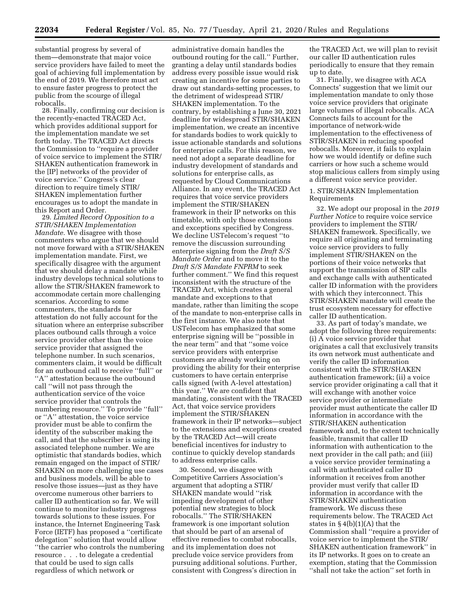substantial progress by several of them—demonstrate that major voice service providers have failed to meet the goal of achieving full implementation by the end of 2019. We therefore must act to ensure faster progress to protect the public from the scourge of illegal robocalls.

28. Finally, confirming our decision is the recently-enacted TRACED Act, which provides additional support for the implementation mandate we set forth today. The TRACED Act directs the Commission to ''require a provider of voice service to implement the STIR/ SHAKEN authentication framework in the [IP] networks of the provider of voice service.'' Congress's clear direction to require timely STIR/ SHAKEN implementation further encourages us to adopt the mandate in this Report and Order.

29. *Limited Record Opposition to a STIR/SHAKEN Implementation Mandate.* We disagree with those commenters who argue that we should not move forward with a STIR/SHAKEN implementation mandate. First, we specifically disagree with the argument that we should delay a mandate while industry develops technical solutions to allow the STIR/SHAKEN framework to accommodate certain more challenging scenarios. According to some commenters, the standards for attestation do not fully account for the situation where an enterprise subscriber places outbound calls through a voice service provider other than the voice service provider that assigned the telephone number. In such scenarios, commenters claim, it would be difficult for an outbound call to receive ''full'' or ''A'' attestation because the outbound call ''will not pass through the authentication service of the voice service provider that controls the numbering resource.'' To provide ''full'' or ''A'' attestation, the voice service provider must be able to confirm the identity of the subscriber making the call, and that the subscriber is using its associated telephone number. We are optimistic that standards bodies, which remain engaged on the impact of STIR/ SHAKEN on more challenging use cases and business models, will be able to resolve those issues—just as they have overcome numerous other barriers to caller ID authentication so far. We will continue to monitor industry progress towards solutions to these issues. For instance, the Internet Engineering Task Force (IETF) has proposed a ''certificate delegation'' solution that would allow ''the carrier who controls the numbering resource . . . to delegate a credential that could be used to sign calls regardless of which network or

administrative domain handles the outbound routing for the call.'' Further, granting a delay until standards bodies address every possible issue would risk creating an incentive for some parties to draw out standards-setting processes, to the detriment of widespread STIR/ SHAKEN implementation. To the contrary, by establishing a June 30, 2021 deadline for widespread STIR/SHAKEN implementation, we create an incentive for standards bodies to work quickly to issue actionable standards and solutions for enterprise calls. For this reason, we need not adopt a separate deadline for industry development of standards and solutions for enterprise calls, as requested by Cloud Communications Alliance. In any event, the TRACED Act requires that voice service providers implement the STIR/SHAKEN framework in their IP networks on this timetable, with only those extensions and exceptions specified by Congress. We decline USTelecom's request ''to remove the discussion surrounding enterprise signing from the *Draft S/S Mandate Order* and to move it to the *Draft S/S Mandate FNPRM* to seek further comment.'' We find this request inconsistent with the structure of the TRACED Act, which creates a general mandate and exceptions to that mandate, rather than limiting the scope of the mandate to non-enterprise calls in the first instance. We also note that USTelecom has emphasized that some enterprise signing will be ''possible in the near term'' and that ''some voice service providers with enterprise customers are already working on providing the ability for their enterprise customers to have certain enterprise calls signed (with A-level attestation) this year.'' We are confident that mandating, consistent with the TRACED Act, that voice service providers implement the STIR/SHAKEN framework in their IP networks—subject to the extensions and exceptions created by the TRACED Act—will create beneficial incentives for industry to continue to quickly develop standards to address enterprise calls.

30. Second, we disagree with Competitive Carriers Association's argument that adopting a STIR/ SHAKEN mandate would ''risk impeding development of other potential new strategies to block robocalls.'' The STIR/SHAKEN framework is one important solution that should be part of an arsenal of effective remedies to combat robocalls, and its implementation does not preclude voice service providers from pursuing additional solutions. Further, consistent with Congress's direction in the TRACED Act, we will plan to revisit our caller ID authentication rules periodically to ensure that they remain up to date.

31. Finally, we disagree with ACA Connects' suggestion that we limit our implementation mandate to only those voice service providers that originate large volumes of illegal robocalls. ACA Connects fails to account for the importance of network-wide implementation to the effectiveness of STIR/SHAKEN in reducing spoofed robocalls. Moreover, it fails to explain how we would identify or define such carriers or how such a scheme would stop malicious callers from simply using a different voice service provider.

# 1. STIR/SHAKEN Implementation Requirements

32. We adopt our proposal in the *2019 Further Notice* to require voice service providers to implement the STIR/ SHAKEN framework. Specifically, we require all originating and terminating voice service providers to fully implement STIR/SHAKEN on the portions of their voice networks that support the transmission of SIP calls and exchange calls with authenticated caller ID information with the providers with which they interconnect. This STIR/SHAKEN mandate will create the trust ecosystem necessary for effective caller ID authentication.

33. As part of today's mandate, we adopt the following three requirements: (i) A voice service provider that originates a call that exclusively transits its own network must authenticate and verify the caller ID information consistent with the STIR/SHAKEN authentication framework; (ii) a voice service provider originating a call that it will exchange with another voice service provider or intermediate provider must authenticate the caller ID information in accordance with the STIR/SHAKEN authentication framework and, to the extent technically feasible, transmit that caller ID information with authentication to the next provider in the call path; and (iii) a voice service provider terminating a call with authenticated caller ID information it receives from another provider must verify that caller ID information in accordance with the STIR/SHAKEN authentication framework. We discuss these requirements below. The TRACED Act states in  $\S 4(b)(1)(A)$  that the Commission shall ''require a provider of voice service to implement the STIR/ SHAKEN authentication framework'' in its IP networks. It goes on to create an exemption, stating that the Commission ''shall not take the action'' set forth in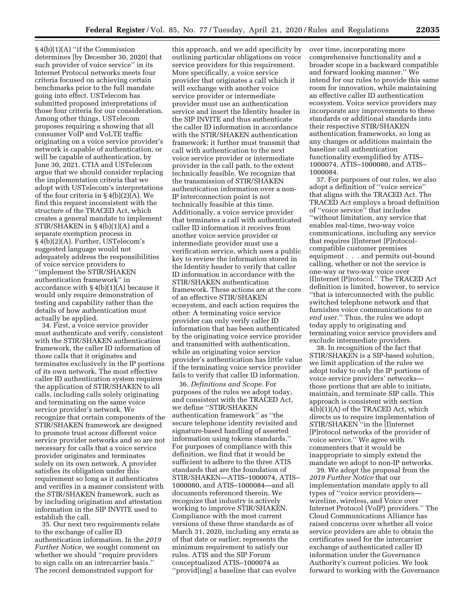§ 4(b)(1)(A) ''if the Commission determines [by December 30, 2020] that such provider of voice service'' in its Internet Protocol networks meets four criteria focused on achieving certain benchmarks prior to the full mandate going into effect. USTelecom has submitted proposed interpretations of those four criteria for our consideration. Among other things, USTelecom proposes requiring a showing that all consumer VoIP and VoLTE traffic originating on a voice service provider's network is capable of authentication, or will be capable of authentication, by June 30, 2021. CTIA and USTelecom argue that we should consider replacing the implementation criteria that we adopt with USTelecom's interpretations of the four criteria in § 4(b)(2)(A). We find this request inconsistent with the structure of the TRACED Act, which creates a general mandate to implement STIR/SHAKEN in § 4(b)(1)(A) and a separate exemption process in § 4(b)(2)(A). Further, USTelecom's suggested language would not adequately address the responsibilities of voice service providers to ''implement the STIR/SHAKEN authentication framework'' in accordance with § 4(b)(1)(A) because it would only require demonstration of testing and capability rather than the details of how authentication must actually be applied.

34. First, a voice service provider must authenticate and verify, consistent with the STIR/SHAKEN authentication framework, the caller ID information of those calls that it originates and terminates exclusively in the IP portions of its own network. The most effective caller ID authentication system requires the application of STIR/SHAKEN to all calls, including calls solely originating and terminating on the same voice service provider's network. We recognize that certain components of the STIR/SHAKEN framework are designed to promote trust across different voice service provider networks and so are not necessary for calls that a voice service provider originates and terminates solely on its own network. A provider satisfies its obligation under this requirement so long as it authenticates and verifies in a manner consistent with the STIR/SHAKEN framework, such as by including origination and attestation information in the SIP INVITE used to establish the call.

35. Our next two requirements relate to the exchange of caller ID authentication information. In the *2019 Further Notice,* we sought comment on whether we should ''require providers to sign calls on an intercarrier basis.'' The record demonstrated support for

this approach, and we add specificity by outlining particular obligations on voice service providers for this requirement. More specifically, a voice service provider that originates a call which it will exchange with another voice service provider or intermediate provider must use an authentication service and insert the Identity header in the SIP INVITE and thus authenticate the caller ID information in accordance with the STIR/SHAKEN authentication framework; it further must transmit that call with authentication to the next voice service provider or intermediate provider in the call path, to the extent technically feasible. We recognize that the transmission of STIR/SHAKEN authentication information over a non-IP interconnection point is not technically feasible at this time. Additionally, a voice service provider that terminates a call with authenticated caller ID information it receives from another voice service provider or intermediate provider must use a verification service, which uses a public key to review the information stored in the Identity header to verify that caller ID information in accordance with the STIR/SHAKEN authentication framework. These actions are at the core of an effective STIR/SHAKEN ecosystem, and each action requires the other: A terminating voice service provider can only verify caller ID information that has been authenticated by the originating voice service provider and transmitted with authentication, while an originating voice service provider's authentication has little value if the terminating voice service provider fails to verify that caller ID information.

36. *Definitions and Scope.* For purposes of the rules we adopt today, and consistent with the TRACED Act, we define ''STIR/SHAKEN authentication framework'' as ''the secure telephone identity revisited and signature-based handling of asserted information using tokens standards.'' For purposes of compliance with this definition, we find that it would be sufficient to adhere to the three ATIS standards that are the foundation of STIR/SHAKEN—ATIS–1000074, ATIS– 1000080, and ATIS–1000084—and all documents referenced therein. We recognize that industry is actively working to improve STIR/SHAKEN. Compliance with the most current versions of these three standards as of March 31, 2020, including any errata as of that date or earlier, represents the minimum requirement to satisfy our rules. ATIS and the SIP Forum conceptualized ATIS–1000074 as ''provid[ing] a baseline that can evolve

over time, incorporating more comprehensive functionality and a broader scope in a backward compatible and forward looking manner.'' We intend for our rules to provide this same room for innovation, while maintaining an effective caller ID authentication ecosystem. Voice service providers may incorporate any improvements to these standards or additional standards into their respective STIR/SHAKEN authentication frameworks, so long as any changes or additions maintain the baseline call authentication functionality exemplified by ATIS– 1000074, ATIS–1000080, and ATIS– 1000084.

37. For purposes of our rules, we also adopt a definition of ''voice service'' that aligns with the TRACED Act. The TRACED Act employs a broad definition of ''voice service'' that includes ''without limitation, any service that enables real-time, two-way voice communications, including any service that requires [I]nternet [P]rotocolcompatible customer premises equipment . . . and permits out-bound calling, whether or not the service is one-way or two-way voice over [I]nternet [P]rotocol.'' The TRACED Act definition is limited, however, to service ''that is interconnected with the public switched telephone network and that furnishes voice communications *to an end user.*'' Thus, the rules we adopt today apply to originating and terminating voice service providers and exclude intermediate providers.

38. In recognition of the fact that STIR/SHAKEN is a SIP-based solution, we limit application of the rules we adopt today to only the IP portions of voice service providers' networks those portions that are able to initiate, maintain, and terminate SIP calls. This approach is consistent with section  $4(b)(1)(A)$  of the TRACED Act, which directs us to require implementation of STIR/SHAKEN ''in the [I]nternet [P]rotocol networks of the provider of voice service.'' We agree with commenters that it would be inappropriate to simply extend the mandate we adopt to non-IP networks.

39. We adopt the proposal from the *2019 Further Notice* that our implementation mandate apply to all types of ''voice service providers wireline, wireless, and Voice over Internet Protocol (VoIP) providers.'' The Cloud Communications Alliance has raised concerns over whether all voice service providers are able to obtain the certificates used for the intercarrier exchange of authenticated caller ID information under the Governance Authority's current policies. We look forward to working with the Governance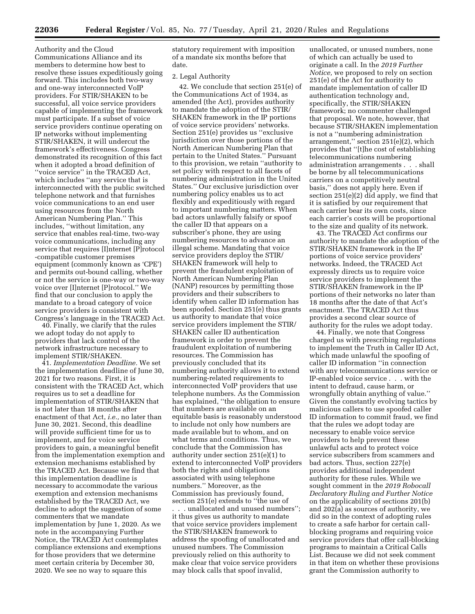Authority and the Cloud Communications Alliance and its members to determine how best to resolve these issues expeditiously going forward. This includes both two-way and one-way interconnected VoIP providers. For STIR/SHAKEN to be successful, all voice service providers capable of implementing the framework must participate. If a subset of voice service providers continue operating on IP networks without implementing STIR/SHAKEN, it will undercut the framework's effectiveness. Congress demonstrated its recognition of this fact when it adopted a broad definition of ''voice service'' in the TRACED Act, which includes ''any service that is interconnected with the public switched telephone network and that furnishes voice communications to an end user using resources from the North American Numbering Plan.'' This includes, ''without limitation, any service that enables real-time, two-way voice communications, including any service that requires [I]nternet [P]rotocol -compatible customer premises equipment (commonly known as 'CPE') and permits out-bound calling, whether or not the service is one-way or two-way voice over [I]nternet [P]rotocol.'' We find that our conclusion to apply the mandate to a broad category of voice service providers is consistent with Congress's language in the TRACED Act.

40. Finally, we clarify that the rules we adopt today do not apply to providers that lack control of the network infrastructure necessary to implement STIR/SHAKEN.

41. *Implementation Deadline.* We set the implementation deadline of June 30, 2021 for two reasons. First, it is consistent with the TRACED Act, which requires us to set a deadline for implementation of STIR/SHAKEN that is not later than 18 months after enactment of that Act, *i.e.,* no later than June 30, 2021. Second, this deadline will provide sufficient time for us to implement, and for voice service providers to gain, a meaningful benefit from the implementation exemption and extension mechanisms established by the TRACED Act. Because we find that this implementation deadline is necessary to accommodate the various exemption and extension mechanisms established by the TRACED Act, we decline to adopt the suggestion of some commenters that we mandate implementation by June 1, 2020. As we note in the accompanying Further Notice, the TRACED Act contemplates compliance extensions and exemptions for those providers that we determine meet certain criteria by December 30, 2020. We see no way to square this

statutory requirement with imposition of a mandate six months before that date.

#### 2. Legal Authority

42. We conclude that section 251(e) of the Communications Act of 1934, as amended (the Act), provides authority to mandate the adoption of the STIR/ SHAKEN framework in the IP portions of voice service providers' networks. Section 251(e) provides us ''exclusive jurisdiction over those portions of the North American Numbering Plan that pertain to the United States.'' Pursuant to this provision, we retain ''authority to set policy with respect to all facets of numbering administration in the United States.'' Our exclusive jurisdiction over numbering policy enables us to act flexibly and expeditiously with regard to important numbering matters. When bad actors unlawfully falsify or spoof the caller ID that appears on a subscriber's phone, they are using numbering resources to advance an illegal scheme. Mandating that voice service providers deploy the STIR/ SHAKEN framework will help to prevent the fraudulent exploitation of North American Numbering Plan (NANP) resources by permitting those providers and their subscribers to identify when caller ID information has been spoofed. Section 251(e) thus grants us authority to mandate that voice service providers implement the STIR/ SHAKEN caller ID authentication framework in order to prevent the fraudulent exploitation of numbering resources. The Commission has previously concluded that its numbering authority allows it to extend numbering-related requirements to interconnected VoIP providers that use telephone numbers. As the Commission has explained, ''the obligation to ensure that numbers are available on an equitable basis is reasonably understood to include not only how numbers are made available but to whom, and on what terms and conditions. Thus, we conclude that the Commission has authority under section 251(e)(1) to extend to interconnected VoIP providers both the rights and obligations associated with using telephone numbers.'' Moreover, as the Commission has previously found, section 251(e) extends to ''the use of . . . unallocated and unused numbers''; it thus gives us authority to mandate that voice service providers implement the STIR/SHAKEN framework to address the spoofing of unallocated and unused numbers. The Commission previously relied on this authority to make clear that voice service providers may block calls that spoof invalid,

unallocated, or unused numbers, none of which can actually be used to originate a call. In the *2019 Further Notice,* we proposed to rely on section 251(e) of the Act for authority to mandate implementation of caller ID authentication technology and, specifically, the STIR/SHAKEN framework; no commenter challenged that proposal. We note, however, that because STIR/SHAKEN implementation is not a ''numbering administration arrangement,'' section 251(e)(2), which provides that ''[t]he cost of establishing telecommunications numbering administration arrangements . . . shall be borne by all telecommunications carriers on a competitively neutral basis,'' does not apply here. Even if section 251(e)(2) did apply, we find that it is satisfied by our requirement that each carrier bear its own costs, since each carrier's costs will be proportional to the size and quality of its network.

43. The TRACED Act confirms our authority to mandate the adoption of the STIR/SHAKEN framework in the IP portions of voice service providers' networks. Indeed, the TRACED Act expressly directs us to require voice service providers to implement the STIR/SHAKEN framework in the IP portions of their networks no later than 18 months after the date of that Act's enactment. The TRACED Act thus provides a second clear source of authority for the rules we adopt today.

44. Finally, we note that Congress charged us with prescribing regulations to implement the Truth in Caller ID Act, which made unlawful the spoofing of caller ID information ''in connection with any telecommunications service or IP-enabled voice service . . . with the intent to defraud, cause harm, or wrongfully obtain anything of value.'' Given the constantly evolving tactics by malicious callers to use spoofed caller ID information to commit fraud, we find that the rules we adopt today are necessary to enable voice service providers to help prevent these unlawful acts and to protect voice service subscribers from scammers and bad actors. Thus, section 227(e) provides additional independent authority for these rules. While we sought comment in the *2019 Robocall Declaratory Ruling and Further Notice*  on the applicability of sections 201(b) and 202(a) as sources of authority, we did so in the context of adopting rules to create a safe harbor for certain callblocking programs and requiring voice service providers that offer call-blocking programs to maintain a Critical Calls List. Because we did not seek comment in that item on whether these provisions grant the Commission authority to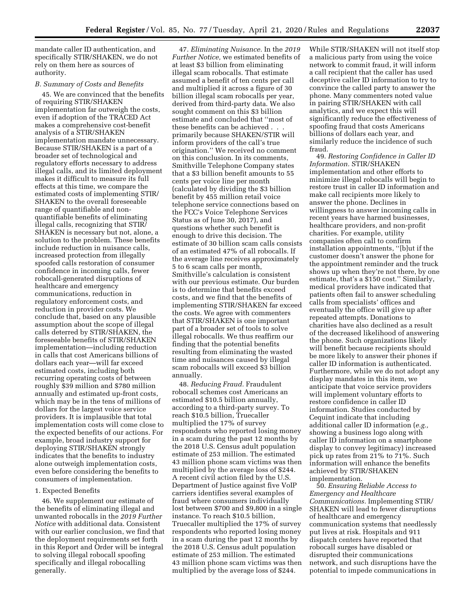mandate caller ID authentication, and specifically STIR/SHAKEN, we do not rely on them here as sources of authority.

### *B. Summary of Costs and Benefits*

45. We are convinced that the benefits of requiring STIR/SHAKEN implementation far outweigh the costs, even if adoption of the TRACED Act makes a comprehensive cost-benefit analysis of a STIR/SHAKEN implementation mandate unnecessary. Because STIR/SHAKEN is a part of a broader set of technological and regulatory efforts necessary to address illegal calls, and its limited deployment makes it difficult to measure its full effects at this time, we compare the estimated costs of implementing STIR/ SHAKEN to the overall foreseeable range of quantifiable and nonquantifiable benefits of eliminating illegal calls, recognizing that STIR/ SHAKEN is necessary but not, alone, a solution to the problem. These benefits include reduction in nuisance calls, increased protection from illegally spoofed calls restoration of consumer confidence in incoming calls, fewer robocall-generated disruptions of healthcare and emergency communications, reduction in regulatory enforcement costs, and reduction in provider costs. We conclude that, based on any plausible assumption about the scope of illegal calls deterred by STIR/SHAKEN, the foreseeable benefits of STIR/SHAKEN implementation—including reduction in calls that cost Americans billions of dollars each year—will far exceed estimated costs, including both recurring operating costs of between roughly \$39 million and \$780 million annually and estimated up-front costs, which may be in the tens of millions of dollars for the largest voice service providers. It is implausible that total implementation costs will come close to the expected benefits of our actions. For example, broad industry support for deploying STIR/SHAKEN strongly indicates that the benefits to industry alone outweigh implementation costs, even before considering the benefits to consumers of implementation.

### 1. Expected Benefits

46. We supplement our estimate of the benefits of eliminating illegal and unwanted robocalls in the *2019 Further Notice* with additional data. Consistent with our earlier conclusion, we find that the deployment requirements set forth in this Report and Order will be integral to solving illegal robocall spoofing specifically and illegal robocalling generally.

47. *Eliminating Nuisance.* In the *2019 Further Notice,* we estimated benefits of at least \$3 billion from eliminating illegal scam robocalls. That estimate assumed a benefit of ten cents per call and multiplied it across a figure of 30 billion illegal scam robocalls per year, derived from third-party data. We also sought comment on this \$3 billion estimate and concluded that ''most of these benefits can be achieved . . . primarily because SHAKEN/STIR will inform providers of the call's true origination.'' We received no comment on this conclusion. In its comments, Smithville Telephone Company states that a \$3 billion benefit amounts to 55 cents per voice line per month (calculated by dividing the \$3 billion benefit by 455 million retail voice telephone service connections based on the FCC's Voice Telephone Services Status as of June 30, 2017), and questions whether such benefit is enough to drive this decision. The estimate of 30 billion scam calls consists of an estimated 47% of all robocalls. If the average line receives approximately 5 to 6 scam calls per month, Smithville's calculation is consistent with our previous estimate. Our burden is to determine that benefits exceed costs, and we find that the benefits of implementing STIR/SHAKEN far exceed the costs. We agree with commenters that STIR/SHAKEN is one important part of a broader set of tools to solve illegal robocalls. We thus reaffirm our finding that the potential benefits resulting from eliminating the wasted time and nuisances caused by illegal scam robocalls will exceed \$3 billion annually.

48. *Reducing Fraud.* Fraudulent robocall schemes cost Americans an estimated \$10.5 billion annually, according to a third-party survey. To reach \$10.5 billion, Truecaller multiplied the 17% of survey respondents who reported losing money in a scam during the past 12 months by the 2018 U.S. Census adult population estimate of 253 million. The estimated 43 million phone scam victims was then multiplied by the average loss of \$244. A recent civil action filed by the U.S. Department of Justice against five VoIP carriers identifies several examples of fraud where consumers individually lost between \$700 and \$9,800 in a single instance. To reach \$10.5 billion, Truecaller multiplied the 17% of survey respondents who reported losing money in a scam during the past 12 months by the 2018 U.S. Census adult population estimate of 253 million. The estimated 43 million phone scam victims was then multiplied by the average loss of \$244.

While STIR/SHAKEN will not itself stop a malicious party from using the voice network to commit fraud, it will inform a call recipient that the caller has used deceptive caller ID information to try to convince the called party to answer the phone. Many commenters noted value in pairing STIR/SHAKEN with call analytics, and we expect this will significantly reduce the effectiveness of spoofing fraud that costs Americans billions of dollars each year, and similarly reduce the incidence of such fraud.

49. *Restoring Confidence in Caller ID Information.* STIR/SHAKEN implementation and other efforts to minimize illegal robocalls will begin to restore trust in caller ID information and make call recipients more likely to answer the phone. Declines in willingness to answer incoming calls in recent years have harmed businesses, healthcare providers, and non-profit charities. For example, utility companies often call to confirm installation appointments, ''[b]ut if the customer doesn't answer the phone for the appointment reminder and the truck shows up when they're not there, by one estimate, that's a \$150 cost.'' Similarly, medical providers have indicated that patients often fail to answer scheduling calls from specialists' offices and eventually the office will give up after repeated attempts. Donations to charities have also declined as a result of the decreased likelihood of answering the phone. Such organizations likely will benefit because recipients should be more likely to answer their phones if caller ID information is authenticated. Furthermore, while we do not adopt any display mandates in this item, we anticipate that voice service providers will implement voluntary efforts to restore confidence in caller ID information. Studies conducted by Cequint indicate that including additional caller ID information (*e.g.,*  showing a business logo along with caller ID information on a smartphone display to convey legitimacy) increased pick up rates from 21% to 71%. Such information will enhance the benefits achieved by STIR/SHAKEN implementation.

50. *Ensuring Reliable Access to Emergency and Healthcare Communications.* Implementing STIR/ SHAKEN will lead to fewer disruptions of healthcare and emergency communication systems that needlessly put lives at risk. Hospitals and 911 dispatch centers have reported that robocall surges have disabled or disrupted their communications network, and such disruptions have the potential to impede communications in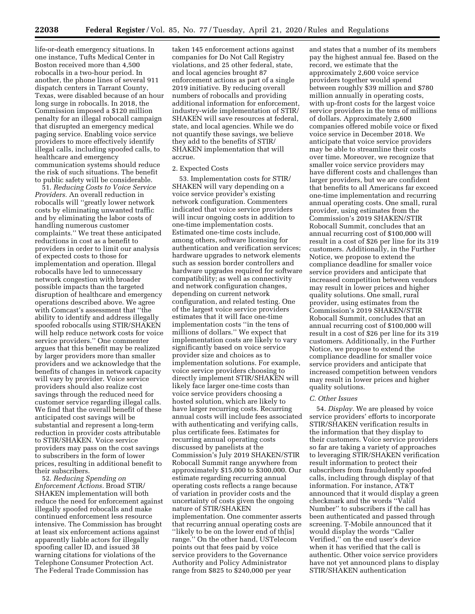life-or-death emergency situations. In one instance, Tufts Medical Center in Boston received more than 4,500 robocalls in a two-hour period. In another, the phone lines of several 911 dispatch centers in Tarrant County, Texas, were disabled because of an hour long surge in robocalls. In 2018, the Commission imposed a \$120 million penalty for an illegal robocall campaign that disrupted an emergency medical paging service. Enabling voice service providers to more effectively identify illegal calls, including spoofed calls, to healthcare and emergency communication systems should reduce the risk of such situations. The benefit to public safety will be considerable.

51. *Reducing Costs to Voice Service Providers.* An overall reduction in robocalls will ''greatly lower network costs by eliminating unwanted traffic and by eliminating the labor costs of handling numerous customer complaints.'' We treat these anticipated reductions in cost as a benefit to providers in order to limit our analysis of expected costs to those for implementation and operation. Illegal robocalls have led to unnecessary network congestion with broader possible impacts than the targeted disruption of healthcare and emergency operations described above. We agree with Comcast's assessment that ''the ability to identify and address illegally spoofed robocalls using STIR/SHAKEN will help reduce network costs for voice service providers.'' One commenter argues that this benefit may be realized by larger providers more than smaller providers and we acknowledge that the benefits of changes in network capacity will vary by provider. Voice service providers should also realize cost savings through the reduced need for customer service regarding illegal calls. We find that the overall benefit of these anticipated cost savings will be substantial and represent a long-term reduction in provider costs attributable to STIR/SHAKEN. Voice service providers may pass on the cost savings to subscribers in the form of lower prices, resulting in additional benefit to their subscribers.

52. *Reducing Spending on Enforcement Actions.* Broad STIR/ SHAKEN implementation will both reduce the need for enforcement against illegally spoofed robocalls and make continued enforcement less resource intensive. The Commission has brought at least six enforcement actions against apparently liable actors for illegally spoofing caller ID, and issued 38 warning citations for violations of the Telephone Consumer Protection Act. The Federal Trade Commission has

taken 145 enforcement actions against companies for Do Not Call Registry violations, and 25 other federal, state, and local agencies brought 87 enforcement actions as part of a single 2019 initiative. By reducing overall numbers of robocalls and providing additional information for enforcement, industry-wide implementation of STIR/ SHAKEN will save resources at federal, state, and local agencies. While we do not quantify these savings, we believe they add to the benefits of STIR/ SHAKEN implementation that will accrue.

### 2. Expected Costs

53. Implementation costs for STIR/ SHAKEN will vary depending on a voice service provider's existing network configuration. Commenters indicated that voice service providers will incur ongoing costs in addition to one-time implementation costs. Estimated one-time costs include, among others, software licensing for authentication and verification services; hardware upgrades to network elements such as session border controllers and hardware upgrades required for software compatibility; as well as connectivity and network configuration changes, depending on current network configuration, and related testing. One of the largest voice service providers estimates that it will face one-time implementation costs ''in the tens of millions of dollars.'' We expect that implementation costs are likely to vary significantly based on voice service provider size and choices as to implementation solutions. For example, voice service providers choosing to directly implement STIR/SHAKEN will likely face larger one-time costs than voice service providers choosing a hosted solution, which are likely to have larger recurring costs. Recurring annual costs will include fees associated with authenticating and verifying calls, plus certificate fees. Estimates for recurring annual operating costs discussed by panelists at the Commission's July 2019 SHAKEN/STIR Robocall Summit range anywhere from approximately \$15,000 to \$300,000. Our estimate regarding recurring annual operating costs reflects a range because of variation in provider costs and the uncertainty of costs given the ongoing nature of STIR/SHAKEN implementation. One commenter asserts that recurring annual operating costs are ''likely to be on the lower end of th[is] range.'' On the other hand, USTelecom points out that fees paid by voice service providers to the Governance Authority and Policy Administrator range from \$825 to \$240,000 per year

and states that a number of its members pay the highest annual fee. Based on the record, we estimate that the approximately 2,600 voice service providers together would spend between roughly \$39 million and \$780 million annually in operating costs, with up-front costs for the largest voice service providers in the tens of millions of dollars. Approximately 2,600 companies offered mobile voice or fixed voice service in December 2018. We anticipate that voice service providers may be able to streamline their costs over time. Moreover, we recognize that smaller voice service providers may have different costs and challenges than larger providers, but we are confident that benefits to all Americans far exceed one-time implementation and recurring annual operating costs. One small, rural provider, using estimates from the Commission's 2019 SHAKEN/STIR Robocall Summit, concludes that an annual recurring cost of \$100,000 will result in a cost of \$26 per line for its 319 customers. Additionally, in the Further Notice, we propose to extend the compliance deadline for smaller voice service providers and anticipate that increased competition between vendors may result in lower prices and higher quality solutions. One small, rural provider, using estimates from the Commission's 2019 SHAKEN/STIR Robocall Summit, concludes that an annual recurring cost of \$100,000 will result in a cost of \$26 per line for its 319 customers. Additionally, in the Further Notice, we propose to extend the compliance deadline for smaller voice service providers and anticipate that increased competition between vendors may result in lower prices and higher quality solutions.

#### *C. Other Issues*

54. *Display.* We are pleased by voice service providers' efforts to incorporate STIR/SHAKEN verification results in the information that they display to their customers. Voice service providers so far are taking a variety of approaches to leveraging STIR/SHAKEN verification result information to protect their subscribers from fraudulently spoofed calls, including through display of that information. For instance, AT&T announced that it would display a green checkmark and the words ''Valid Number'' to subscribers if the call has been authenticated and passed through screening. T-Mobile announced that it would display the words ''Caller Verified,'' on the end user's device when it has verified that the call is authentic. Other voice service providers have not yet announced plans to display STIR/SHAKEN authentication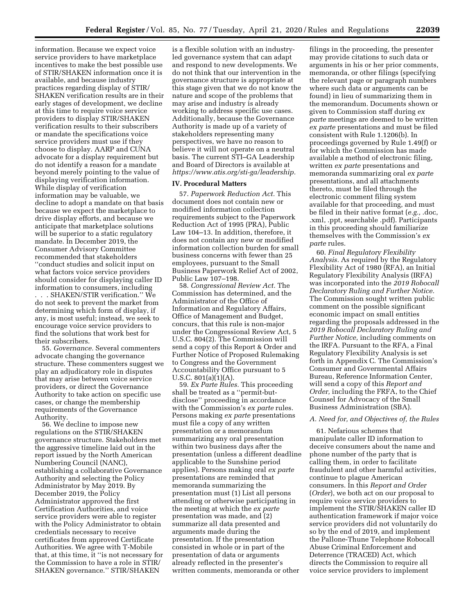information. Because we expect voice service providers to have marketplace incentives to make the best possible use of STIR/SHAKEN information once it is available, and because industry practices regarding display of STIR/ SHAKEN verification results are in their early stages of development, we decline at this time to require voice service providers to display STIR/SHAKEN verification results to their subscribers or mandate the specifications voice service providers must use if they choose to display. AARP and CUNA advocate for a display requirement but do not identify a reason for a mandate beyond merely pointing to the value of displaying verification information. While display of verification information may be valuable, we decline to adopt a mandate on that basis because we expect the marketplace to drive display efforts, and because we anticipate that marketplace solutions will be superior to a static regulatory mandate. In December 2019, the Consumer Advisory Committee recommended that stakeholders ''conduct studies and solicit input on what factors voice service providers should consider for displaying caller ID information to consumers, including . . . SHAKEN/STIR verification.'' We do not seek to prevent the market from determining which form of display, if any, is most useful; instead, we seek to encourage voice service providers to find the solutions that work best for their subscribers. 55. *Governance.* Several commenters

advocate changing the governance structure. These commenters suggest we play an adjudicatory role in disputes that may arise between voice service providers, or direct the Governance Authority to take action on specific use cases, or change the membership requirements of the Governance Authority.

56. We decline to impose new regulations on the STIR/SHAKEN governance structure. Stakeholders met the aggressive timeline laid out in the report issued by the North American Numbering Council (NANC), establishing a collaborative Governance Authority and selecting the Policy Administrator by May 2019. By December 2019, the Policy Administrator approved the first Certification Authorities, and voice service providers were able to register with the Policy Administrator to obtain credentials necessary to receive certificates from approved Certificate Authorities. We agree with T-Mobile that, at this time, it ''is not necessary for the Commission to have a role in STIR/ SHAKEN governance.'' STIR/SHAKEN

is a flexible solution with an industryled governance system that can adapt and respond to new developments. We do not think that our intervention in the governance structure is appropriate at this stage given that we do not know the nature and scope of the problems that may arise and industry is already working to address specific use cases. Additionally, because the Governance Authority is made up of a variety of stakeholders representing many perspectives, we have no reason to believe it will not operate on a neutral basis. The current STI–GA Leadership and Board of Directors is available at *[https://www.atis.org/sti-ga/leadership.](https://www.atis.org/sti-ga/leadership)* 

### **IV. Procedural Matters**

57. *Paperwork Reduction Act.* This document does not contain new or modified information collection requirements subject to the Paperwork Reduction Act of 1995 (PRA), Public Law 104–13. In addition, therefore, it does not contain any new or modified information collection burden for small business concerns with fewer than 25 employees, pursuant to the Small Business Paperwork Relief Act of 2002, Public Law 107–198.

58. *Congressional Review Act.* The Commission has determined, and the Administrator of the Office of Information and Regulatory Affairs, Office of Management and Budget, concurs, that this rule is non-major under the Congressional Review Act, 5 U.S.C. 804(2). The Commission will send a copy of this Report & Order and Further Notice of Proposed Rulemaking to Congress and the Government Accountability Office pursuant to 5 U.S.C. 801(a)(1)(A).

59. *Ex Parte Rules.* This proceeding shall be treated as a ''permit-butdisclose'' proceeding in accordance with the Commission's *ex parte* rules. Persons making *ex parte* presentations must file a copy of any written presentation or a memorandum summarizing any oral presentation within two business days after the presentation (unless a different deadline applicable to the Sunshine period applies). Persons making oral *ex parte*  presentations are reminded that memoranda summarizing the presentation must (1) List all persons attending or otherwise participating in the meeting at which the *ex parte*  presentation was made, and (2) summarize all data presented and arguments made during the presentation. If the presentation consisted in whole or in part of the presentation of data or arguments already reflected in the presenter's written comments, memoranda or other

filings in the proceeding, the presenter may provide citations to such data or arguments in his or her prior comments, memoranda, or other filings (specifying the relevant page or paragraph numbers where such data or arguments can be found) in lieu of summarizing them in the memorandum. Documents shown or given to Commission staff during *ex parte* meetings are deemed to be written *ex parte* presentations and must be filed consistent with Rule 1.1206(b). In proceedings governed by Rule 1.49(f) or for which the Commission has made available a method of electronic filing, written *ex parte* presentations and memoranda summarizing oral *ex parte*  presentations, and all attachments thereto, must be filed through the electronic comment filing system available for that proceeding, and must be filed in their native format (*e.g.,* .doc, .xml, .ppt, searchable .pdf). Participants in this proceeding should familiarize themselves with the Commission's *ex parte* rules.

60. *Final Regulatory Flexibility Analysis.* As required by the Regulatory Flexibility Act of 1980 (RFA), an Initial Regulatory Flexibility Analysis (IRFA) was incorporated into the *2019 Robocall Declaratory Ruling and Further Notice.*  The Commission sought written public comment on the possible significant economic impact on small entities regarding the proposals addressed in the *2019 Robocall Declaratory Ruling and Further Notice,* including comments on the IRFA. Pursuant to the RFA, a Final Regulatory Flexibility Analysis is set forth in Appendix C. The Commission's Consumer and Governmental Affairs Bureau, Reference Information Center, will send a copy of this *Report and Order,* including the FRFA, to the Chief Counsel for Advocacy of the Small Business Administration (SBA).

#### *A. Need for, and Objectives of, the Rules*

61. Nefarious schemes that manipulate caller ID information to deceive consumers about the name and phone number of the party that is calling them, in order to facilitate fraudulent and other harmful activities, continue to plague American consumers. In this *Report and Order*  (*Order*), we both act on our proposal to require voice service providers to implement the STIR/SHAKEN caller ID authentication framework if major voice service providers did not voluntarily do so by the end of 2019, and implement the Pallone-Thune Telephone Robocall Abuse Criminal Enforcement and Deterrence (TRACED) Act, which directs the Commission to require all voice service providers to implement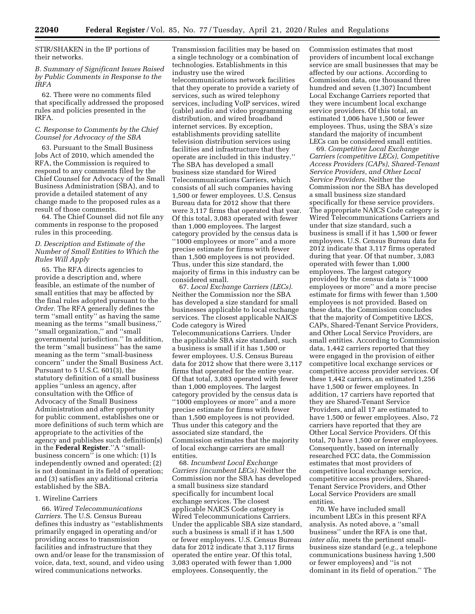STIR/SHAKEN in the IP portions of their networks.

### *B. Summary of Significant Issues Raised by Public Comments in Response to the IRFA*

62. There were no comments filed that specifically addressed the proposed rules and policies presented in the IRFA.

### *C. Response to Comments by the Chief Counsel for Advocacy of the SBA*

63. Pursuant to the Small Business Jobs Act of 2010, which amended the RFA, the Commission is required to respond to any comments filed by the Chief Counsel for Advocacy of the Small Business Administration (SBA), and to provide a detailed statement of any change made to the proposed rules as a result of those comments.

64. The Chief Counsel did not file any comments in response to the proposed rules in this proceeding.

### *D. Description and Estimate of the Number of Small Entities to Which the Rules Will Apply*

65. The RFA directs agencies to provide a description and, where feasible, an estimate of the number of small entities that may be affected by the final rules adopted pursuant to the *Order.* The RFA generally defines the term ''small entity'' as having the same meaning as the terms ''small business,'' ''small organization,'' and ''small governmental jurisdiction.'' In addition, the term ''small business'' has the same meaning as the term ''small-business concern'' under the Small Business Act. Pursuant to 5 U.S.C. 601(3), the statutory definition of a small business applies ''unless an agency, after consultation with the Office of Advocacy of the Small Business Administration and after opportunity for public comment, establishes one or more definitions of such term which are appropriate to the activities of the agency and publishes such definition(s) in the **Federal Register**.''A ''smallbusiness concern'' is one which: (1) Is independently owned and operated; (2) is not dominant in its field of operation; and (3) satisfies any additional criteria established by the SBA.

# 1. Wireline Carriers

66. *Wired Telecommunications Carriers.* The U.S. Census Bureau defines this industry as ''establishments primarily engaged in operating and/or providing access to transmission facilities and infrastructure that they own and/or lease for the transmission of voice, data, text, sound, and video using wired communications networks.

Transmission facilities may be based on a single technology or a combination of technologies. Establishments in this industry use the wired telecommunications network facilities that they operate to provide a variety of services, such as wired telephony services, including VoIP services, wired (cable) audio and video programming distribution, and wired broadband internet services. By exception, establishments providing satellite television distribution services using facilities and infrastructure that they operate are included in this industry.'' The SBA has developed a small business size standard for Wired Telecommunications Carriers, which consists of all such companies having 1,500 or fewer employees. U.S. Census Bureau data for 2012 show that there were 3,117 firms that operated that year. Of this total, 3,083 operated with fewer than 1,000 employees. The largest category provided by the census data is ''1000 employees or more'' and a more precise estimate for firms with fewer than 1,500 employees is not provided. Thus, under this size standard, the majority of firms in this industry can be considered small.

67. *Local Exchange Carriers (LECs).*  Neither the Commission nor the SBA has developed a size standard for small businesses applicable to local exchange services. The closest applicable NAICS Code category is Wired Telecommunications Carriers. Under the applicable SBA size standard, such a business is small if it has 1,500 or fewer employees. U.S. Census Bureau data for 2012 show that there were 3,117 firms that operated for the entire year. Of that total, 3,083 operated with fewer than 1,000 employees. The largest category provided by the census data is ''1000 employees or more'' and a more precise estimate for firms with fewer than 1,500 employees is not provided. Thus under this category and the associated size standard, the Commission estimates that the majority of local exchange carriers are small entities.

68. *Incumbent Local Exchange Carriers (incumbent LECs).* Neither the Commission nor the SBA has developed a small business size standard specifically for incumbent local exchange services. The closest applicable NAICS Code category is Wired Telecommunications Carriers. Under the applicable SBA size standard, such a business is small if it has 1,500 or fewer employees. U.S. Census Bureau data for 2012 indicate that 3,117 firms operated the entire year. Of this total, 3,083 operated with fewer than 1,000 employees. Consequently, the

Commission estimates that most providers of incumbent local exchange service are small businesses that may be affected by our actions. According to Commission data, one thousand three hundred and seven (1,307) Incumbent Local Exchange Carriers reported that they were incumbent local exchange service providers. Of this total, an estimated 1,006 have 1,500 or fewer employees. Thus, using the SBA's size standard the majority of incumbent LECs can be considered small entities.

69. *Competitive Local Exchange Carriers (competitive LECs), Competitive Access Providers (CAPs), Shared-Tenant Service Providers, and Other Local Service Providers.* Neither the Commission nor the SBA has developed a small business size standard specifically for these service providers. The appropriate NAICS Code category is Wired Telecommunications Carriers and under that size standard, such a business is small if it has 1,500 or fewer employees. U.S. Census Bureau data for 2012 indicate that 3,117 firms operated during that year. Of that number, 3,083 operated with fewer than 1,000 employees. The largest category provided by the census data is ''1000 employees or more'' and a more precise estimate for firms with fewer than 1,500 employees is not provided. Based on these data, the Commission concludes that the majority of Competitive LECS, CAPs, Shared-Tenant Service Providers, and Other Local Service Providers, are small entities. According to Commission data, 1,442 carriers reported that they were engaged in the provision of either competitive local exchange services or competitive access provider services. Of these 1,442 carriers, an estimated 1,256 have 1,500 or fewer employees. In addition, 17 carriers have reported that they are Shared-Tenant Service Providers, and all 17 are estimated to have 1,500 or fewer employees. Also, 72 carriers have reported that they are Other Local Service Providers. Of this total, 70 have 1,500 or fewer employees. Consequently, based on internally researched FCC data, the Commission estimates that most providers of competitive local exchange service, competitive access providers, Shared-Tenant Service Providers, and Other Local Service Providers are small entities.

70. We have included small incumbent LECs in this present RFA analysis. As noted above, a ''small business'' under the RFA is one that, *inter alia,* meets the pertinent smallbusiness size standard (*e.g.,* a telephone communications business having 1,500 or fewer employees) and ''is not dominant in its field of operation.'' The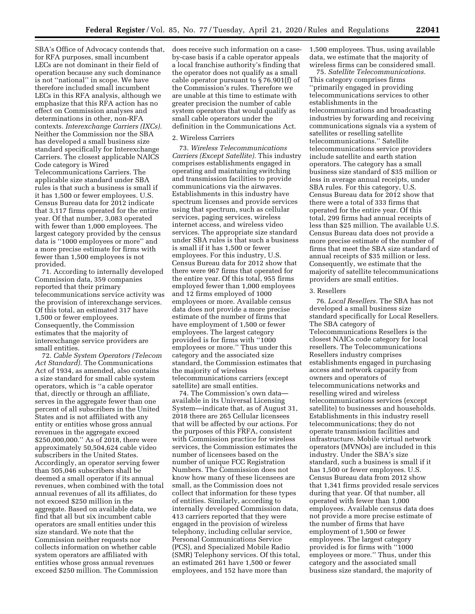SBA's Office of Advocacy contends that, for RFA purposes, small incumbent LECs are not dominant in their field of operation because any such dominance is not ''national'' in scope. We have therefore included small incumbent LECs in this RFA analysis, although we emphasize that this RFA action has no effect on Commission analyses and determinations in other, non-RFA contexts. *Interexchange Carriers (IXCs).*  Neither the Commission nor the SBA has developed a small business size standard specifically for Interexchange Carriers. The closest applicable NAICS Code category is Wired Telecommunications Carriers. The

applicable size standard under SBA rules is that such a business is small if it has 1,500 or fewer employees. U.S. Census Bureau data for 2012 indicate that 3,117 firms operated for the entire year. Of that number, 3,083 operated with fewer than 1,000 employees. The largest category provided by the census data is ''1000 employees or more'' and a more precise estimate for firms with fewer than 1,500 employees is not provided.

71. According to internally developed Commission data, 359 companies reported that their primary telecommunications service activity was the provision of interexchange services. Of this total, an estimated 317 have 1,500 or fewer employees. Consequently, the Commission estimates that the majority of interexchange service providers are small entities.

72. *Cable System Operators (Telecom Act Standard).* The Communications Act of 1934, as amended, also contains a size standard for small cable system operators, which is ''a cable operator that, directly or through an affiliate, serves in the aggregate fewer than one percent of all subscribers in the United States and is not affiliated with any entity or entities whose gross annual revenues in the aggregate exceed \$250,000,000.'' As of 2018, there were approximately 50,504,624 cable video subscribers in the United States. Accordingly, an operator serving fewer than 505,046 subscribers shall be deemed a small operator if its annual revenues, when combined with the total annual revenues of all its affiliates, do not exceed \$250 million in the aggregate. Based on available data, we find that all but six incumbent cable operators are small entities under this size standard. We note that the Commission neither requests nor collects information on whether cable system operators are affiliated with entities whose gross annual revenues exceed \$250 million. The Commission

does receive such information on a caseby-case basis if a cable operator appeals a local franchise authority's finding that the operator does not qualify as a small cable operator pursuant to § 76.901(f) of the Commission's rules. Therefore we are unable at this time to estimate with greater precision the number of cable system operators that would qualify as small cable operators under the definition in the Communications Act.

#### 2. Wireless Carriers

73. *Wireless Telecommunications Carriers (Except Satellite).* This industry comprises establishments engaged in operating and maintaining switching and transmission facilities to provide communications via the airwaves. Establishments in this industry have spectrum licenses and provide services using that spectrum, such as cellular services, paging services, wireless internet access, and wireless video services. The appropriate size standard under SBA rules is that such a business is small if it has 1,500 or fewer employees. For this industry, U.S. Census Bureau data for 2012 show that there were 967 firms that operated for the entire year. Of this total, 955 firms employed fewer than 1,000 employees and 12 firms employed of 1000 employees or more. Available census data does not provide a more precise estimate of the number of firms that have employment of 1,500 or fewer employees. The largest category provided is for firms with ''1000 employees or more.'' Thus under this category and the associated size standard, the Commission estimates that the majority of wireless telecommunications carriers (except satellite) are small entities.

74. The Commission's own data available in its Universal Licensing System—indicate that, as of August 31, 2018 there are 265 Cellular licensees that will be affected by our actions. For the purposes of this FRFA, consistent with Commission practice for wireless services, the Commission estimates the number of licensees based on the number of unique FCC Registration Numbers. The Commission does not know how many of these licensees are small, as the Commission does not collect that information for these types of entities. Similarly, according to internally developed Commission data, 413 carriers reported that they were engaged in the provision of wireless telephony, including cellular service, Personal Communications Service (PCS), and Specialized Mobile Radio (SMR) Telephony services. Of this total, an estimated 261 have 1,500 or fewer employees, and 152 have more than

1,500 employees. Thus, using available data, we estimate that the majority of wireless firms can be considered small.

75. *Satellite Telecommunications.*  This category comprises firms ''primarily engaged in providing telecommunications services to other establishments in the telecommunications and broadcasting industries by forwarding and receiving communications signals via a system of satellites or reselling satellite telecommunications.'' Satellite telecommunications service providers include satellite and earth station operators. The category has a small business size standard of \$35 million or less in average annual receipts, under SBA rules. For this category, U.S. Census Bureau data for 2012 show that there were a total of 333 firms that operated for the entire year. Of this total, 299 firms had annual receipts of less than \$25 million. The available U.S. Census Bureau data does not provide a more precise estimate of the number of firms that meet the SBA size standard of annual receipts of \$35 million or less. Consequently, we estimate that the majority of satellite telecommunications providers are small entities.

### 3. Resellers

76. *Local Resellers.* The SBA has not developed a small business size standard specifically for Local Resellers. The SBA category of Telecommunications Resellers is the closest NAICs code category for local resellers. The Telecommunications Resellers industry comprises establishments engaged in purchasing access and network capacity from owners and operators of telecommunications networks and reselling wired and wireless telecommunications services (except satellite) to businesses and households. Establishments in this industry resell telecommunications; they do not operate transmission facilities and infrastructure. Mobile virtual network operators (MVNOs) are included in this industry. Under the SBA's size standard, such a business is small if it has 1,500 or fewer employees. U.S. Census Bureau data from 2012 show that 1,341 firms provided resale services during that year. Of that number, all operated with fewer than 1,000 employees. Available census data does not provide a more precise estimate of the number of firms that have employment of 1,500 or fewer employees. The largest category provided is for firms with ''1000 employees or more.'' Thus, under this category and the associated small business size standard, the majority of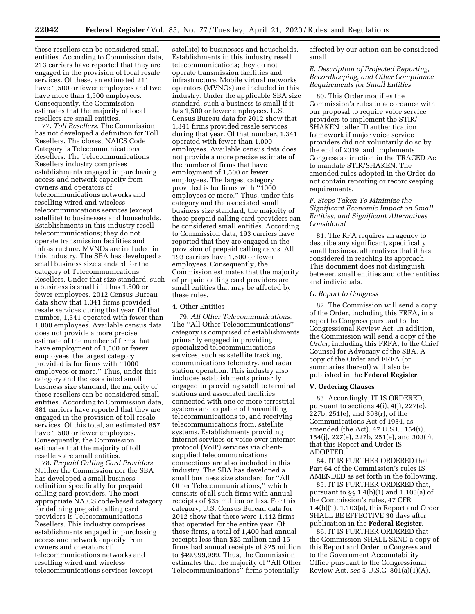these resellers can be considered small entities. According to Commission data, 213 carriers have reported that they are engaged in the provision of local resale services. Of these, an estimated 211 have 1,500 or fewer employees and two have more than 1,500 employees. Consequently, the Commission estimates that the majority of local resellers are small entities.

77. *Toll Resellers.* The Commission has not developed a definition for Toll Resellers. The closest NAICS Code Category is Telecommunications Resellers. The Telecommunications Resellers industry comprises establishments engaged in purchasing access and network capacity from owners and operators of telecommunications networks and reselling wired and wireless telecommunications services (except satellite) to businesses and households. Establishments in this industry resell telecommunications; they do not operate transmission facilities and infrastructure. MVNOs are included in this industry. The SBA has developed a small business size standard for the category of Telecommunications Resellers. Under that size standard, such a business is small if it has 1,500 or fewer employees. 2012 Census Bureau data show that 1,341 firms provided resale services during that year. Of that number, 1,341 operated with fewer than 1,000 employees. Available census data does not provide a more precise estimate of the number of firms that have employment of 1,500 or fewer employees; the largest category provided is for firms with ''1000 employees or more.'' Thus, under this category and the associated small business size standard, the majority of these resellers can be considered small entities. According to Commission data, 881 carriers have reported that they are engaged in the provision of toll resale services. Of this total, an estimated 857 have 1,500 or fewer employees. Consequently, the Commission estimates that the majority of toll resellers are small entities.

78. *Prepaid Calling Card Providers.*  Neither the Commission nor the SBA has developed a small business definition specifically for prepaid calling card providers. The most appropriate NAICS code-based category for defining prepaid calling card providers is Telecommunications Resellers. This industry comprises establishments engaged in purchasing access and network capacity from owners and operators of telecommunications networks and reselling wired and wireless telecommunications services (except

satellite) to businesses and households. Establishments in this industry resell telecommunications; they do not operate transmission facilities and infrastructure. Mobile virtual networks operators (MVNOs) are included in this industry. Under the applicable SBA size standard, such a business is small if it has 1,500 or fewer employees. U.S. Census Bureau data for 2012 show that 1,341 firms provided resale services during that year. Of that number, 1,341 operated with fewer than 1,000 employees. Available census data does not provide a more precise estimate of the number of firms that have employment of 1,500 or fewer employees. The largest category provided is for firms with ''1000 employees or more.'' Thus, under this category and the associated small business size standard, the majority of these prepaid calling card providers can be considered small entities. According to Commission data, 193 carriers have reported that they are engaged in the provision of prepaid calling cards. All 193 carriers have 1,500 or fewer employees. Consequently, the Commission estimates that the majority of prepaid calling card providers are small entities that may be affected by these rules.

### 4. Other Entities

79. *All Other Telecommunications.*  The ''All Other Telecommunications'' category is comprised of establishments primarily engaged in providing specialized telecommunications services, such as satellite tracking, communications telemetry, and radar station operation. This industry also includes establishments primarily engaged in providing satellite terminal stations and associated facilities connected with one or more terrestrial systems and capable of transmitting telecommunications to, and receiving telecommunications from, satellite systems. Establishments providing internet services or voice over internet protocol (VoIP) services via clientsupplied telecommunications connections are also included in this industry. The SBA has developed a small business size standard for ''All Other Telecommunications,'' which consists of all such firms with annual receipts of \$35 million or less. For this category, U.S. Census Bureau data for 2012 show that there were 1,442 firms that operated for the entire year. Of those firms, a total of 1,400 had annual receipts less than \$25 million and 15 firms had annual receipts of \$25 million to \$49,999,999. Thus, the Commission estimates that the majority of ''All Other Telecommunications'' firms potentially

affected by our action can be considered small.

### *E. Description of Projected Reporting, Recordkeeping, and Other Compliance Requirements for Small Entities*

80. This Order modifies the Commission's rules in accordance with our proposal to require voice service providers to implement the STIR/ SHAKEN caller ID authentication framework if major voice service providers did not voluntarily do so by the end of 2019, and implements Congress's direction in the TRACED Act to mandate STIR/SHAKEN. The amended rules adopted in the Order do not contain reporting or recordkeeping requirements.

### *F. Steps Taken To Minimize the Significant Economic Impact on Small Entities, and Significant Alternatives Considered*

81. The RFA requires an agency to describe any significant, specifically small business, alternatives that it has considered in reaching its approach. This document does not distinguish between small entities and other entities and individuals.

#### *G. Report to Congress*

82. The Commission will send a copy of the Order, including this FRFA, in a report to Congress pursuant to the Congressional Review Act. In addition, the Commission will send a copy of the *Order,* including this FRFA, to the Chief Counsel for Advocacy of the SBA. A copy of the Order and FRFA (or summaries thereof) will also be published in the **Federal Register**.

#### **V. Ordering Clauses**

83. Accordingly, IT IS ORDERED, pursuant to sections  $4(i)$ ,  $4(j)$ ,  $227(e)$ , 227b, 251(e), and 303(r), of the Communications Act of 1934, as amended (the Act), 47 U.S.C. 154(i), 154(j), 227(e), 227b, 251(e), and 303(r), that this Report and Order IS ADOPTED.

84. IT IS FURTHER ORDERED that Part 64 of the Commission's rules IS AMENDED as set forth in the following.

85. IT IS FURTHER ORDERED that, pursuant to §§ 1.4(b)(1) and 1.103(a) of the Commission's rules, 47 CFR 1.4(b)(1), 1.103(a), this Report and Order SHALL BE EFFECTIVE 30 days after publication in the **Federal Register**.

86. IT IS FURTHER ORDERED that the Commission SHALL SEND a copy of this Report and Order to Congress and to the Government Accountability Office pursuant to the Congressional Review Act, *see* 5 U.S.C. 801(a)(1)(A).